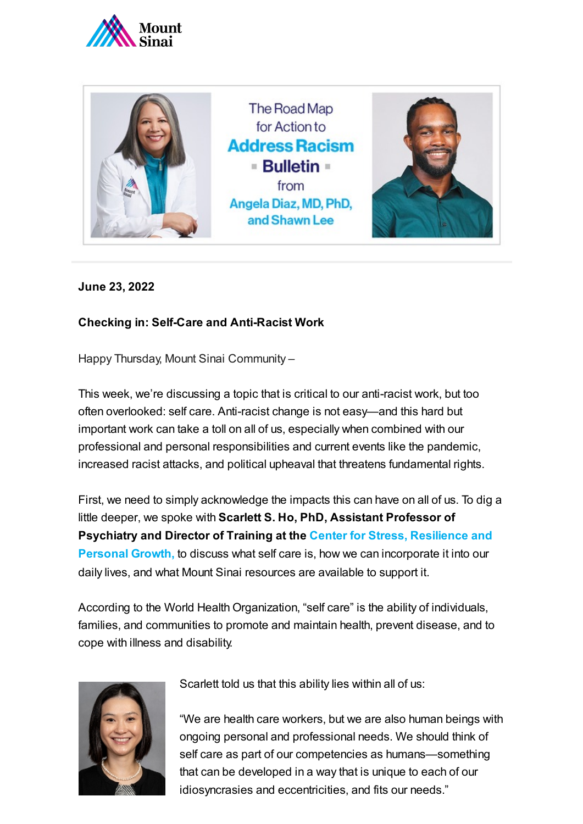



## **June 23, 2022**

## **Checking in: Self-Care and Anti-Racist Work**

Happy Thursday, Mount Sinai Community –

This week, we're discussing a topic that is critical to our anti-racist work, but too often overlooked: self care. Anti-racist change is not easy—and this hard but important work can take a toll on all of us, especially when combined with our professional and personal responsibilities and current events like the pandemic, increased racist attacks, and political upheaval that threatens fundamental rights.

First, we need to simply acknowledge the impacts this can have on all of us. To dig a little deeper, we spoke with **Scarlett S. Ho, PhD, Assistant Professor of Psychiatry and Director of Training at the Center for Stress, Resilience and Personal Growth,** to [discuss what](https://icahn.mssm.edu/about/departments/psychiatry/clinical/stress-resilience-personal-growth-center) self care is, how we can incorporate it into our daily lives, and what Mount Sinai resources are available to support it.

According to the World Health Organization, "self care" is the ability of individuals, families, and communities to promote and maintain health, prevent disease, and to cope with illness and disability.



Scarlett told us that this ability lies within all of us:

"We are health care workers, but we are also human beings with ongoing personal and professional needs. We should think of self care as part of our competencies as humans—something that can be developed in a way that is unique to each of our idiosyncrasies and eccentricities, and fits our needs."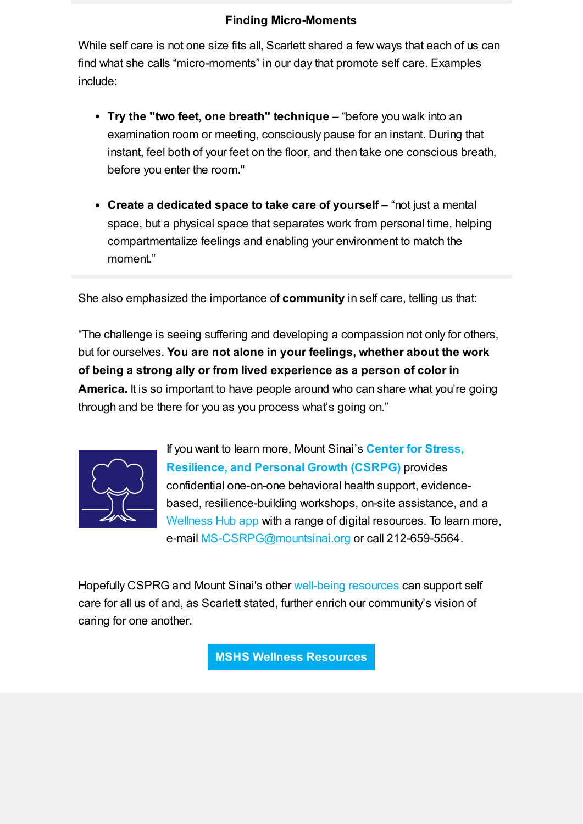## **Finding Micro-Moments**

While self care is not one size fits all, Scarlett shared a few ways that each of us can find what she calls "micro-moments" in our day that promote self care. Examples include:

- **Try the "two feet, one breath" technique** "before you walk into an examination room or meeting, consciously pause for an instant. During that instant, feel both of your feet on the floor, and then take one conscious breath, before you enter the room."
- **Create a dedicated space to take care of yourself** "not just a mental space, but a physical space that separates work from personal time, helping compartmentalize feelings and enabling your environment to match the moment"

She also emphasized the importance of **community** in self care, telling us that:

"The challenge is seeing suffering and developing a compassion not only for others, but for ourselves. **You are not alone in your feelings, whether about the work of being a strong ally or from lived experience as a person of color in America.** It is so important to have people around who can share what you're going through and be there for you as you process what's going on."



If you want to learn more, Mount Sinai's **Center for Stress, [Resilience,](https://icahn.mssm.edu/research/center-stress-resilience-personal-growth) and Personal Growth (CSRPG)** provides confidential one-on-one behavioral health support, evidencebased, resilience-building workshops, on-site assistance, and a [Wellness Hub](https://sinaicentral.mssm.edu/wellnesshub) app with a range of digital resources. To learn more, e-mail [MS-CSRPG@mountsinai.org](mailto:MS-CSRPG@mountsinai.org) or call 212-659-5564.

Hopefully CSPRG and Mount Sinai's other [well-being](https://www.mountsinai.org/files/MSHealth/Assets/HS/About/Coronavirus/MS-Staff-Support-Resources.pdf) resources can support self care for all us of and, as Scarlett stated, further enrich our community's vision of caring for one another.

**MSHS Wellness [Resources](https://www.mountsinai.org/files/MSHealth/Assets/HS/About/Coronavirus/MS-Staff-Support-Resources.pdf)**